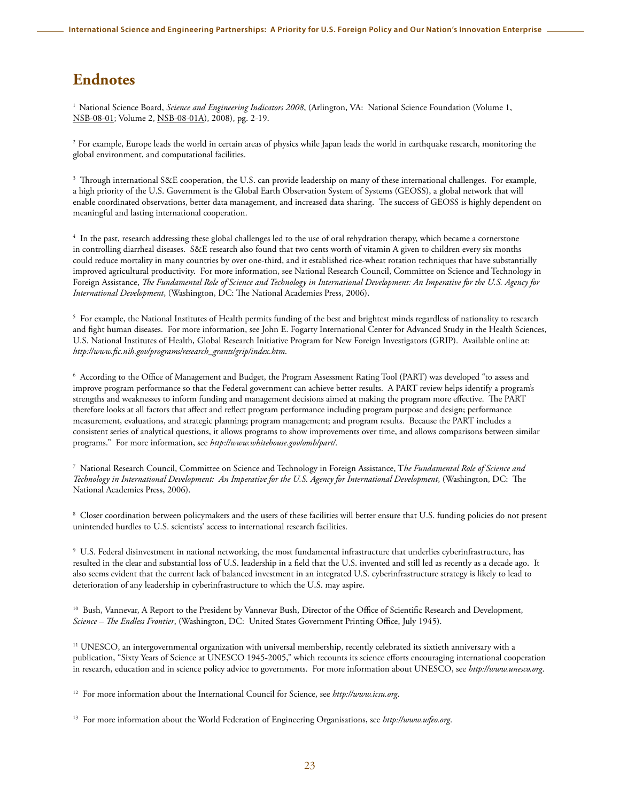## **Endnotes**

<sup>1</sup> National Science Board, *Science and Engineering Indicators 2008*, (Arlington, VA: National Science Foundation (Volume 1, [NSB-08-01](http://nsf.gov/statistics/seind08/); Volume 2, NSB-08-01A), 2008), pg. 2-19.

<sup>2</sup> For example, Europe leads the world in certain areas of physics while Japan leads the world in earthquake research, monitoring the global environment, and computational facilities.

3 Through international S&E cooperation, the U.S. can provide leadership on many of these international challenges. For example, a high priority of the U.S. Government is the Global Earth Observation System of Systems (GEOSS), a global network that will enable coordinated observations, better data management, and increased data sharing. The success of GEOSS is highly dependent on meaningful and lasting international cooperation.

4 In the past, research addressing these global challenges led to the use of oral rehydration therapy, which became a cornerstone in controlling diarrheal diseases. S&E research also found that two cents worth of vitamin A given to children every six months could reduce mortality in many countries by over one-third, and it established rice-wheat rotation techniques that have substantially improved agricultural productivity. For more information, see National Research Council, Committee on Science and Technology in Foreign Assistance, *The Fundamental Role of Science and Technology in International Development: An Imperative for the U.S. Agency for International Development*, (Washington, DC: The National Academies Press, 2006).

 $^5$  For example, the National Institutes of Health permits funding of the best and brightest minds regardless of nationality to research and fight human diseases. For more information, see John E. Fogarty International Center for Advanced Study in the Health Sciences, U.S. National Institutes of Health, Global Research Initiative Program for New Foreign Investigators (GRIP). Available online at: *[http://www.fic.nih.gov/programs/research\\_grants/grip/index.htm](http://www.fic.nih.gov/programs/research_grants/grip/index.htm)*.

6 According to the Office of Management and Budget, the Program Assessment Rating Tool (PART) was developed "to assess and improve program performance so that the Federal government can achieve better results. A PART review helps identify a program's strengths and weaknesses to inform funding and management decisions aimed at making the program more effective. The PART therefore looks at all factors that affect and reflect program performance including program purpose and design; performance measurement, evaluations, and strategic planning; program management; and program results. Because the PART includes a consistent series of analytical questions, it allows programs to show improvements over time, and allows comparisons between similar programs." For more information, see *<http://www.whitehouse.gov/omb/part/>*.

7 National Research Council, Committee on Science and Technology in Foreign Assistance, T*he Fundamental Role of Science and Technology in International Development: An Imperative for the U.S. Agency for International Development*, (Washington, DC: The National Academies Press, 2006).

 $\,^8$  Closer coordination between policymakers and the users of these facilities will better ensure that U.S. funding policies do not present unintended hurdles to U.S. scientists' access to international research facilities.

 $^\circ$  U.S. Federal disinvestment in national networking, the most fundamental infrastructure that underlies cyberinfrastructure, has resulted in the clear and substantial loss of U.S. leadership in a field that the U.S. invented and still led as recently as a decade ago. It also seems evident that the current lack of balanced investment in an integrated U.S. cyberinfrastructure strategy is likely to lead to deterioration of any leadership in cyberinfrastructure to which the U.S. may aspire.

<sup>10</sup> Bush, Vannevar, A Report to the President by Vannevar Bush, Director of the Office of Scientific Research and Development, *Science – The Endless Frontier*, (Washington, DC: United States Government Printing Office, July 1945).

11 UNESCO, an intergovernmental organization with universal membership, recently celebrated its sixtieth anniversary with a publication, "Sixty Years of Science at UNESCO 1945-2005," which recounts its science efforts encouraging international cooperation in research, education and in science policy advice to governments. For more information about UNESCO, see *<http://www.unesco.org>*.

12 For more information about the International Council for Science, see *<http://www.icsu.org>*.

13 For more information about the World Federation of Engineering Organisations, see *<http://www.wfeo.org>*.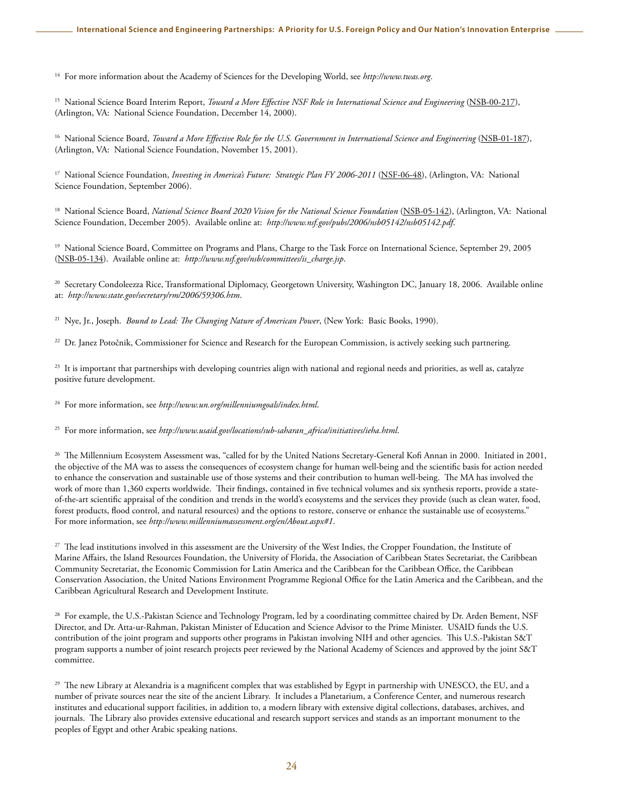14 For more information about the Academy of Sciences for the Developing World, see *<http://www.twas.org>*.

15 National Science Board Interim Report, *[Toward a More Effective NSF Role in International Science and Engineering](http://www.nsf.gov/publications/pub_summ.jsp?ods_key=nsb00217)* (NSB-00-217), (Arlington, VA: National Science Foundation, December 14, 2000).

<sup>16</sup> National Science Board, *[Toward a More Effective Role for the U.S. Government in International Science and Engineering](http://www.nsf.gov/publications/pub_summ.jsp?ods_key=nsb01187)* (NSB-01-187), (Arlington, VA: National Science Foundation, November 15, 2001).

<sup>17</sup> National Science Foundation, *[Investing in America's Future: Strategic Plan FY 2006-2011](http://www.nsf.gov/pubs/2006/nsf0648/nsf0648.jsp)* (NSF-06-48), (Arlington, VA: National Science Foundation, September 2006).

18 National Science Board, *[National Science Board 2020 Vision for the National Science Foundation](http://www.nsf.gov/pubs/2006/nsb05142/nsb05142.pdf)* (NSB-05-142), (Arlington, VA: National Science Foundation, December 2005). Available online at: *<http://www.nsf.gov/pubs/2006/nsb05142/nsb05142.pdf>*.

<sup>19</sup> National Science Board, Committee on Programs and Plans, Charge to the Task Force on International Science, September 29, 2005 (NSB-05-134). Available online at: *[http://www.nsf.gov/nsb/committees/is\\_charge.jsp](http://www.nsf.gov/nsb/committees/is_charge.jsp)*.

<sup>20</sup> Secretary Condoleezza Rice, Transformational Diplomacy, Georgetown University, Washington DC, January 18, 2006. Available online at: *<http://www.state.gov/secretary/rm/2006/59306.htm>*.

21 Nye, Jr., Joseph. *Bound to Lead: The Changing Nature of American Power*, (New York: Basic Books, 1990).

<sup>22</sup> Dr. Janez Potočnik, Commissioner for Science and Research for the European Commission, is actively seeking such partnering.

<sup>23</sup> It is important that partnerships with developing countries align with national and regional needs and priorities, as well as, catalyze positive future development.

24 For more information, see *<http://www.un.org/millenniumgoals/index.html>*.

25 For more information, see *[http://www.usaid.gov/locations/sub-saharan\\_africa/initiatives/ieha.html](http://www.usaid.gov/locations/sub-saharan_africa/initiatives/ieha.html)*.

<sup>26</sup> The Millennium Ecosystem Assessment was, "called for by the United Nations Secretary-General Kofi Annan in 2000. Initiated in 2001, the objective of the MA was to assess the consequences of ecosystem change for human well-being and the scientific basis for action needed to enhance the conservation and sustainable use of those systems and their contribution to human well-being. The MA has involved the work of more than 1,360 experts worldwide. Their findings, contained in five technical volumes and six synthesis reports, provide a stateof-the-art scientific appraisal of the condition and trends in the world's ecosystems and the services they provide (such as clean water, food, forest products, flood control, and natural resources) and the options to restore, conserve or enhance the sustainable use of ecosystems." For more information, see *<http://www.millenniumassessment.org/en/About.aspx#1>*.

<sup>27</sup> The lead institutions involved in this assessment are the University of the West Indies, the Cropper Foundation, the Institute of Marine Affairs, the Island Resources Foundation, the University of Florida, the Association of Caribbean States Secretariat, the Caribbean Community Secretariat, the Economic Commission for Latin America and the Caribbean for the Caribbean Office, the Caribbean Conservation Association, the United Nations Environment Programme Regional Office for the Latin America and the Caribbean, and the Caribbean Agricultural Research and Development Institute.

<sup>28</sup> For example, the U.S.-Pakistan Science and Technology Program, led by a coordinating committee chaired by Dr. Arden Bement, NSF Director, and Dr. Atta-ur-Rahman, Pakistan Minister of Education and Science Advisor to the Prime Minister. USAID funds the U.S. contribution of the joint program and supports other programs in Pakistan involving NIH and other agencies. This U.S.-Pakistan S&T program supports a number of joint research projects peer reviewed by the National Academy of Sciences and approved by the joint S&T committee.

<sup>29</sup> The new Library at Alexandria is a magnificent complex that was established by Egypt in partnership with UNESCO, the EU, and a number of private sources near the site of the ancient Library. It includes a Planetarium, a Conference Center, and numerous research institutes and educational support facilities, in addition to, a modern library with extensive digital collections, databases, archives, and journals. The Library also provides extensive educational and research support services and stands as an important monument to the peoples of Egypt and other Arabic speaking nations.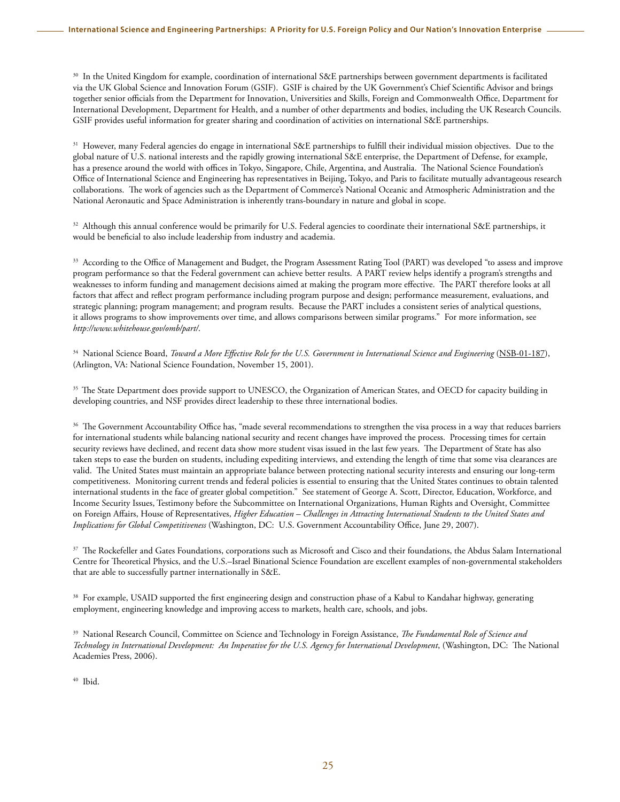<sup>30</sup> In the United Kingdom for example, coordination of international S&E partnerships between government departments is facilitated via the UK Global Science and Innovation Forum (GSIF). GSIF is chaired by the UK Government's Chief Scientific Advisor and brings together senior officials from the Department for Innovation, Universities and Skills, Foreign and Commonwealth Office, Department for International Development, Department for Health, and a number of other departments and bodies, including the UK Research Councils. GSIF provides useful information for greater sharing and coordination of activities on international S&E partnerships.

<sup>31</sup> However, many Federal agencies do engage in international S&E partnerships to fulfill their individual mission objectives. Due to the global nature of U.S. national interests and the rapidly growing international S&E enterprise, the Department of Defense, for example, has a presence around the world with offices in Tokyo, Singapore, Chile, Argentina, and Australia. The National Science Foundation's Office of International Science and Engineering has representatives in Beijing, Tokyo, and Paris to facilitate mutually advantageous research collaborations. The work of agencies such as the Department of Commerce's National Oceanic and Atmospheric Administration and the National Aeronautic and Space Administration is inherently trans-boundary in nature and global in scope.

 $32$  Although this annual conference would be primarily for U.S. Federal agencies to coordinate their international S&E partnerships, it would be beneficial to also include leadership from industry and academia.

<sup>33</sup> According to the Office of Management and Budget, the Program Assessment Rating Tool (PART) was developed "to assess and improve program performance so that the Federal government can achieve better results. A PART review helps identify a program's strengths and weaknesses to inform funding and management decisions aimed at making the program more effective. The PART therefore looks at all factors that affect and reflect program performance including program purpose and design; performance measurement, evaluations, and strategic planning; program management; and program results. Because the PART includes a consistent series of analytical questions, it allows programs to show improvements over time, and allows comparisons between similar programs." For more information, see *<http://www.whitehouse.gov/omb/part/>*.

<sup>34</sup> National Science Board, *[Toward a More Effective Role for the U.S. Government in International Science and Engineering](http://www.nsf.gov/publications/pub_summ.jsp?ods_key=nsb01187)* (NSB-01-187), (Arlington, VA: National Science Foundation, November 15, 2001).

<sup>35</sup> The State Department does provide support to UNESCO, the Organization of American States, and OECD for capacity building in developing countries, and NSF provides direct leadership to these three international bodies.

<sup>36</sup> The Government Accountability Office has, "made several recommendations to strengthen the visa process in a way that reduces barriers for international students while balancing national security and recent changes have improved the process. Processing times for certain security reviews have declined, and recent data show more student visas issued in the last few years. The Department of State has also taken steps to ease the burden on students, including expediting interviews, and extending the length of time that some visa clearances are valid. The United States must maintain an appropriate balance between protecting national security interests and ensuring our long-term competitiveness. Monitoring current trends and federal policies is essential to ensuring that the United States continues to obtain talented international students in the face of greater global competition." See statement of George A. Scott, Director, Education, Workforce, and Income Security Issues, Testimony before the Subcommittee on International Organizations, Human Rights and Oversight, Committee on Foreign Affairs, House of Representatives, *Higher Education – Challenges in Attracting International Students to the United States and Implications for Global Competitiveness* (Washington, DC: U.S. Government Accountability Office, June 29, 2007).

<sup>37</sup> The Rockefeller and Gates Foundations, corporations such as Microsoft and Cisco and their foundations, the Abdus Salam International Centre for Theoretical Physics, and the U.S.–Israel Binational Science Foundation are excellent examples of non-governmental stakeholders that are able to successfully partner internationally in S&E.

<sup>38</sup> For example, USAID supported the first engineering design and construction phase of a Kabul to Kandahar highway, generating employment, engineering knowledge and improving access to markets, health care, schools, and jobs.

39 National Research Council, Committee on Science and Technology in Foreign Assistance, *The Fundamental Role of Science and Technology in International Development: An Imperative for the U.S. Agency for International Development*, (Washington, DC: The National Academies Press, 2006).

40 Ibid.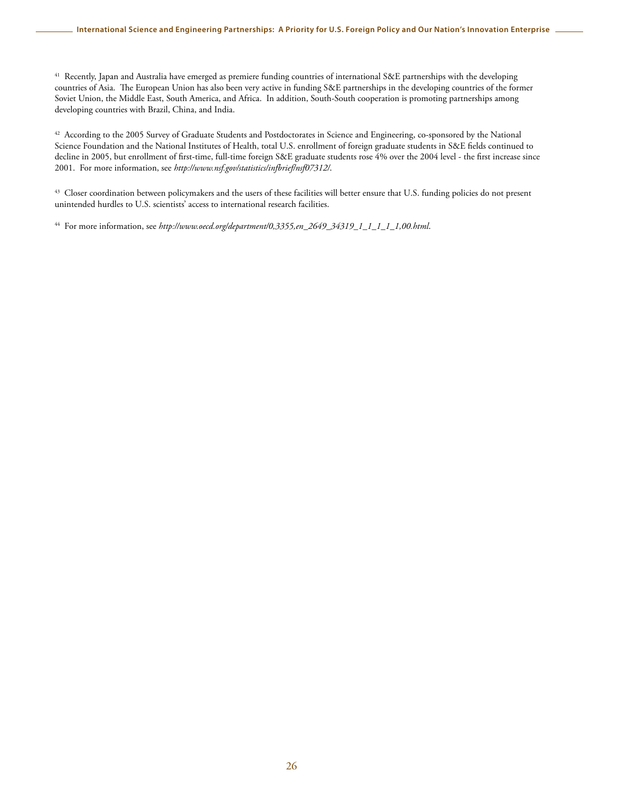<sup>41</sup> Recently, Japan and Australia have emerged as premiere funding countries of international S&E partnerships with the developing countries of Asia. The European Union has also been very active in funding S&E partnerships in the developing countries of the former Soviet Union, the Middle East, South America, and Africa. In addition, South-South cooperation is promoting partnerships among developing countries with Brazil, China, and India.

<sup>42</sup> According to the 2005 Survey of Graduate Students and Postdoctorates in Science and Engineering, co-sponsored by the National Science Foundation and the National Institutes of Health, total U.S. enrollment of foreign graduate students in S&E fields continued to decline in 2005, but enrollment of first-time, full-time foreign S&E graduate students rose 4% over the 2004 level - the first increase since 2001. For more information, see *<http://www.nsf.gov/statistics/infbrief/nsf07312/>*.

<sup>43</sup> Closer coordination between policymakers and the users of these facilities will better ensure that U.S. funding policies do not present unintended hurdles to U.S. scientists' access to international research facilities.

44 For more information, see *[http://www.oecd.org/department/0,3355,en\\_2649\\_34319\\_1\\_1\\_1\\_1\\_1,00.html](http://www.oecd.org/department/0,3355,en_2649_34319_1_1_1_1_1,00.htm)*.